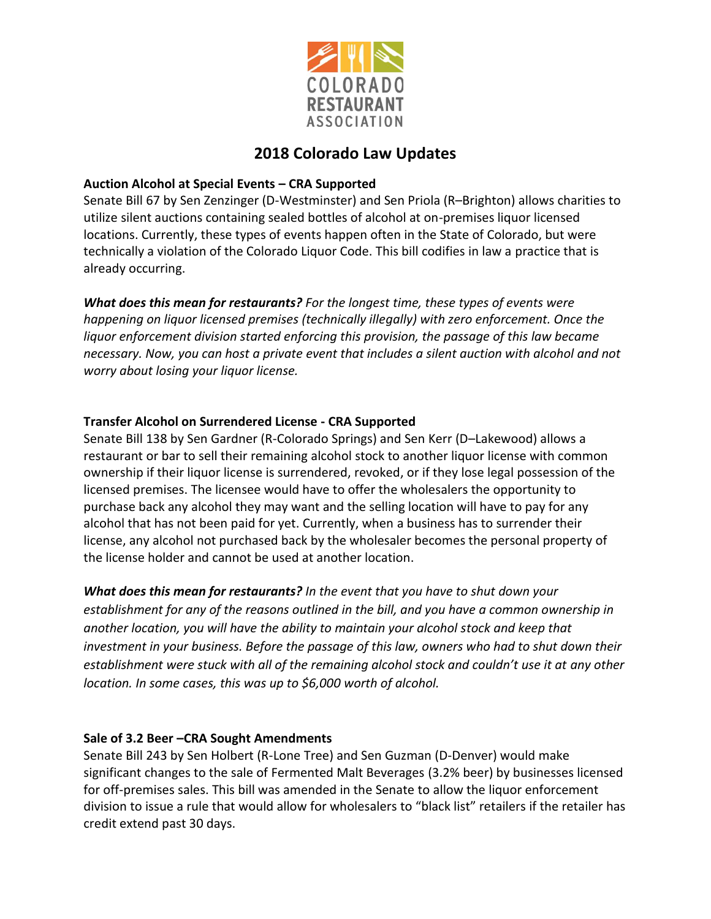

## **2018 Colorado Law Updates**

## **Auction Alcohol at Special Events – CRA Supported**

Senate Bill 67 by Sen Zenzinger (D-Westminster) and Sen Priola (R–Brighton) allows charities to utilize silent auctions containing sealed bottles of alcohol at on-premises liquor licensed locations. Currently, these types of events happen often in the State of Colorado, but were technically a violation of the Colorado Liquor Code. This bill codifies in law a practice that is already occurring.

*What does this mean for restaurants? For the longest time, these types of events were happening on liquor licensed premises (technically illegally) with zero enforcement. Once the liquor enforcement division started enforcing this provision, the passage of this law became necessary. Now, you can host a private event that includes a silent auction with alcohol and not worry about losing your liquor license.* 

## **Transfer Alcohol on Surrendered License - CRA Supported**

Senate Bill 138 by Sen Gardner (R-Colorado Springs) and Sen Kerr (D–Lakewood) allows a restaurant or bar to sell their remaining alcohol stock to another liquor license with common ownership if their liquor license is surrendered, revoked, or if they lose legal possession of the licensed premises. The licensee would have to offer the wholesalers the opportunity to purchase back any alcohol they may want and the selling location will have to pay for any alcohol that has not been paid for yet. Currently, when a business has to surrender their license, any alcohol not purchased back by the wholesaler becomes the personal property of the license holder and cannot be used at another location.

*What does this mean for restaurants? In the event that you have to shut down your establishment for any of the reasons outlined in the bill, and you have a common ownership in another location, you will have the ability to maintain your alcohol stock and keep that investment in your business. Before the passage of this law, owners who had to shut down their*  establishment were stuck with all of the remaining alcohol stock and couldn't use it at any other *location. In some cases, this was up to \$6,000 worth of alcohol.* 

## **Sale of 3.2 Beer –CRA Sought Amendments**

Senate Bill 243 by Sen Holbert (R-Lone Tree) and Sen Guzman (D-Denver) would make significant changes to the sale of Fermented Malt Beverages (3.2% beer) by businesses licensed for off-premises sales. This bill was amended in the Senate to allow the liquor enforcement division to issue a rule that would allow for wholesalers to "black list" retailers if the retailer has credit extend past 30 days.